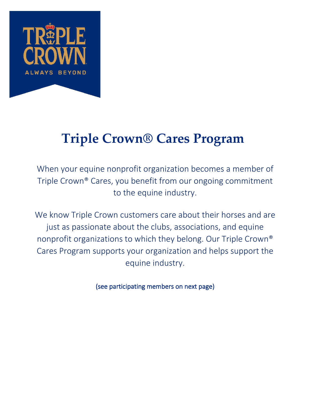

# **Triple Crown® Cares Program**

When your equine nonprofit organization becomes a member of Triple Crown® Cares, you benefit from our ongoing commitment to the equine industry.

We know Triple Crown customers care about their horses and are just as passionate about the clubs, associations, and equine nonprofit organizations to which they belong. Our Triple Crown® Cares Program supports your organization and helps support the equine industry.

(see participating members on next page)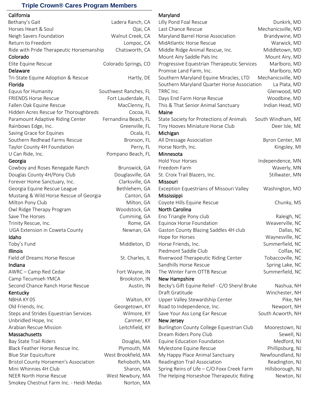### **Triple Crown® Cares Program Members**

| California |  |
|------------|--|
|            |  |

| California                               |                       | Maryland                                      |                    |
|------------------------------------------|-----------------------|-----------------------------------------------|--------------------|
| Bethany's Gait                           | Ladera Ranch, CA      | Lilly Pond Foal Rescue                        | Dunkirk, MD        |
| Horses Heart & Soul                      | Ojai, CA              | Last Chance Rescue                            | Mechanicsville, MD |
| Neigh Savers Foundation                  | Walnut Creek, CA      | Maryland Barrel Horse Association             | Brandywine, MD     |
| Return to Freedom                        | Lompoc, CA            | MidAtlantic Horse Rescue                      | Warwick, MD        |
| Ride with Pride Therapeutic Horsemanship | Chatsworth, CA        | Middle Ridge Animal Rescue, Inc.              | Middletown, MD     |
| Colorado                                 |                       | Mount Airy Saddle Pals Inc                    | Mount Airy, MD     |
| Elite Equine Rescue                      | Colorado Springs, CO  | Progressive Equestrian Therapeutic Services   | Marlboro, MD       |
| Delaware                                 |                       | Promise Land Farm, Inc.                       | Marlboro, MD       |
| Tri-State Equine Adoption & Rescue       | Hartly, DE            | Southern Maryland Equine Miracles, LTD        | Mechanicsville, MD |
| Florida                                  |                       | Southern Maryland Quarter Horse Association   | La Plata, MD       |
| Equus for Humanity                       | Southwest Ranches, FL | TRRC Inc.                                     | Glenwood, MD       |
| <b>FRIENDS Horse Rescue</b>              | Fort Lauderdale, FL   | Days End Farm Horse Rescue                    | Woodbine, MD       |
| Fallen Oak Equine Rescue                 | MacClenny, FL         | This & That Senior Animal Sanctuary           | Indian Head, MD    |
| Hidden Acres Rescue for Thoroughbreds    | Cocoa, FL             | Maine                                         |                    |
| Paramount Adaptive Riding Center         | Fernandina Beach, FL  | State Society for Protections of Animals      | South Windham, ME  |
| Rainbows Edge, Inc.                      | Greenville, FL        | Tiny Hooves Miniature Horse Club              | Deer Isle, ME      |
| Saving Grace for Equines                 | Ocala, FL             | Michigan                                      |                    |
| Southern Redhead Farms Rescue            | Bronson, FL           | All Dressage Association                      | Byron Center, MI   |
| Taylor County 4H Foundation              | Perry, FL             | Horse North, Inc.                             | Kingsley, MI       |
| U Can Ride, Inc.                         | Pompano Beach, FL     | Minnesota                                     |                    |
| Georgia                                  |                       | <b>Hold Your Horses</b>                       | Independence, MN   |
| Cowboy and Roses Renegade Ranch          | Brunswick, GA         | Freedom Farm                                  | Waverly, MN        |
| Douglas County 4H/Pony Club              | Douglasville, GA      | St. Croix Trail Blazers, Inc.                 | Stillwater, MN     |
| Forever Home Sanctuary, Inc.             | Clarksville, GA       | Missouri                                      |                    |
| Georgia Equine Rescue League             | Bethlehem, GA         | Exception Equestrians of Missouri Valley      | Washington, MO     |
| Mustang & Wild Horse Rescue of Georgia   | Canton, GA            | Mississippi                                   |                    |
| Milton Pony Club                         | Milton, GA            | Coyote Hills Equine Rescue                    | Chunky, MS         |
| Owl Ridge Therapy Program                | Woodstock, GA         | <b>North Carolina</b>                         |                    |
| Save The Horses                          | Cumming, GA           | Eno Triangle Pony club                        | Raleigh, NC        |
| Trinity Rescue, Inc.                     | Rome, GA              | Equinox Horse Foundation                      | Weaverville, NC    |
| UGA Extension in Coweta County           | Newnan, GA            | Gaston County Blazing Saddles 4H club         | Dallas, NC         |
| Idaho                                    |                       | Hope for Horses                               | Waynesville, NC    |
| Toby's Fund                              | Middleton, ID         | Horse Friends, Inc.                           | Summerfield, NC    |
| <b>Illinois</b>                          |                       | Piedmont Saddle Club                          | Colfax, NC         |
| Field of Dreams Horse Rescue             | St. Charles, IL       | Riverwood Therapeutic Riding Center           | Tobaccoville, NC   |
| Indiana                                  |                       | Sandhills Horse Rescue                        | Spring Lake, NC    |
| AWRC - Camp Red Cedar                    | Fort Wayne, IN        | The Winter Farm OTTB Rescue                   | Summerfield, NC    |
| Camp Tecumseh YMCA                       | Brookston, IN         | New Hampshire                                 |                    |
| Second Chance Ranch Horse Rescue         | Austin, IN            | Becky's Gift Equine Relief - C/O Sheryl Bruke | Nashua, NH         |
| Kentucky                                 |                       | Draft Gratitude                               | Winchester, NH     |
| NBHA KY 05                               | Walton, KY            | Upper Valley Stewardship Center               | Pike, NH           |
| Old Friends, Inc.                        | Georgetown, KY        | Road to Independence, Inc.                    | Newport, NH        |
| Steps and Strides Equestrian Services    | Wilmore, KY           | Save Your Ass Long Ear Rescue                 | South Acworth, NH  |
| Unbridled Hope, Inc                      | Canmer, KY            | New Jersey                                    |                    |
| Arabian Rescue Mission                   | Leitchfield, KY       | Burlington County College Equestrian Club     | Moorestown, NJ     |
| Massachusetts                            |                       | Dream Riders Pony Club                        | Sewell, NJ         |
| Bay State Trail Riders                   | Douglas, MA           | Equine Education Foundation                   | Medford, NJ        |
| Black Feather Horse Rescue Inc.          | Plymouth, MA          | Mylestone Equine Rescue                       | Phillipsburg, NJ   |
| Blue Star Equiculture                    | West Brookfield, MA   | My Happy Place Animal Sanctuary               | Newfoundland, NJ   |
| Bristol County Horsemen's Association    | Rehoboth, MA          | Readington Trail Association                  | Readington, NJ     |
| Mini Whinnies 4H Club                    | Sharon, MA            | Spring Reins of Life - C/O Foxx Creek Farm    | Hillsborough, NJ   |
| NEER North Horse Rescue                  | West Newbury, MA      | The Helping Horseshoe Therapeutic Riding      | Newton, NJ         |
| Smokey Chestnut Farm Inc. - Heidi Medas  | Norton, MA            |                                               |                    |

## Maryland

| Lilly Pond Foal Rescue                        | Dunkirk, MD        |
|-----------------------------------------------|--------------------|
| Last Chance Rescue                            | Mechanicsville, MD |
| Maryland Barrel Horse Association             | Brandywine, MD     |
| MidAtlantic Horse Rescue                      | Warwick, MD        |
| Middle Ridge Animal Rescue, Inc.              | Middletown, MD     |
| Mount Airy Saddle Pals Inc                    | Mount Airy, MD     |
| Progressive Equestrian Therapeutic Services   | Marlboro, MD       |
| Promise Land Farm, Inc.                       | Marlboro, MD       |
| Southern Maryland Equine Miracles, LTD        | Mechanicsville, MD |
| Southern Maryland Quarter Horse Association   | La Plata, MD       |
| TRRC Inc.                                     | Glenwood, MD       |
| Days End Farm Horse Rescue                    | Woodbine, MD       |
| This & That Senior Animal Sanctuary           | Indian Head, MD    |
| Maine                                         |                    |
| State Society for Protections of Animals      | South Windham, ME  |
| Tiny Hooves Miniature Horse Club              | Deer Isle, ME      |
| Michigan                                      |                    |
| All Dressage Association                      | Byron Center, MI   |
| Horse North, Inc.                             | Kingsley, MI       |
| Minnesota                                     |                    |
| <b>Hold Your Horses</b>                       | Independence, MN   |
| Freedom Farm                                  | Waverly, MN        |
| St. Croix Trail Blazers, Inc.                 | Stillwater, MN     |
| Missouri                                      |                    |
| Exception Equestrians of Missouri Valley      | Washington, MO     |
| Mississippi                                   |                    |
| Coyote Hills Equine Rescue                    | Chunky, MS         |
| North Carolina                                |                    |
| Eno Triangle Pony club                        | Raleigh, NC        |
| Equinox Horse Foundation                      | Weaverville, NC    |
| Gaston County Blazing Saddles 4H club         | Dallas, NC         |
| Hope for Horses                               | Waynesville, NC    |
| Horse Friends, Inc.                           | Summerfield, NC    |
| Piedmont Saddle Club                          | Colfax, NC         |
| Riverwood Therapeutic Riding Center           | Tobaccoville, NC   |
| Sandhills Horse Rescue                        | Spring Lake, NC    |
| The Winter Farm OTTB Rescue                   | Summerfield, NC    |
| New Hampshire                                 |                    |
| Becky's Gift Equine Relief - C/O Sheryl Bruke | Nashua, NH         |
| Draft Gratitude                               | Winchester, NH     |
| Upper Valley Stewardship Center               | Pike, NH           |
| Road to Independence, Inc.                    | Newport, NH        |
| Save Your Ass Long Ear Rescue                 | South Acworth, NH  |
| New Jersey                                    |                    |
| Burlington County College Equestrian Club     | Moorestown, NJ     |
| Dream Riders Pony Club                        | Sewell, NJ         |
| Equine Education Foundation                   | Medford, NJ        |
| Mylestone Equine Rescue                       | Phillipsburg, NJ   |
| My Happy Place Animal Sanctuary               | Newfoundland, NJ   |
| Readington Trail Association                  | Readington, NJ     |
| Spring Reins of Life - C/O Foxx Creek Farm    | Hillsborough, NJ   |
| The Helping Horseshoe Therapeutic Riding      | Newton, NJ         |
|                                               |                    |